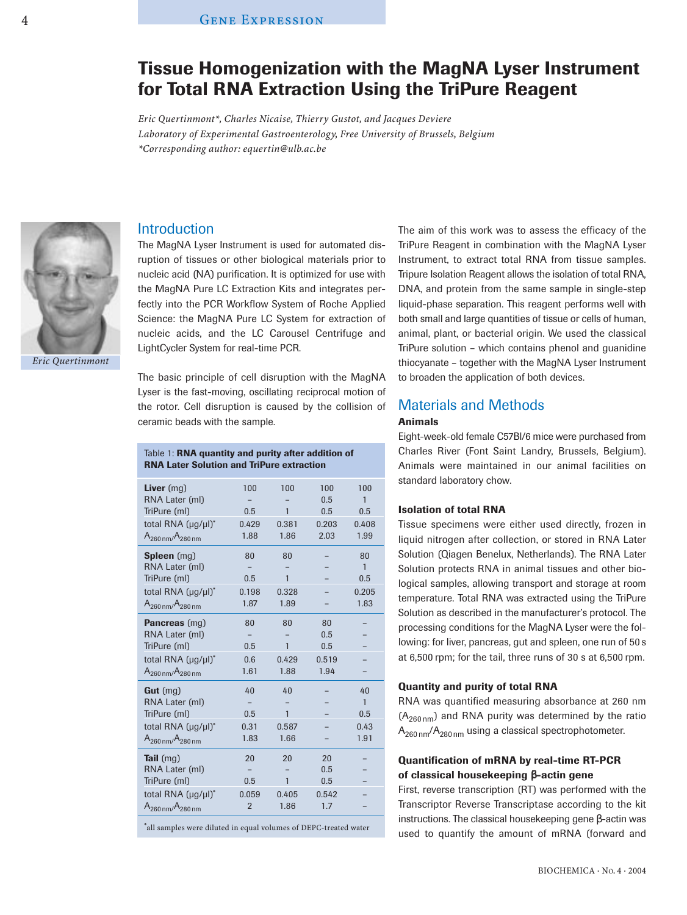# **Tissue Homogenization with the MagNA Lyser Instrument for Total RNA Extraction Using the TriPure Reagent**

*Eric Quertinmont\*, Charles Nicaise, Thierry Gustot, and Jacques Deviere Laboratory of Experimental Gastroenterology, Free University of Brussels, Belgium \*Corresponding author: equertin@ulb.ac.be*



### **Introduction**

The MagNA Lyser Instrument is used for automated disruption of tissues or other biological materials prior to nucleic acid (NA) purification. It is optimized for use with the MagNA Pure LC Extraction Kits and integrates perfectly into the PCR Workflow System of Roche Applied Science: the MagNA Pure LC System for extraction of nucleic acids, and the LC Carousel Centrifuge and LightCycler System for real-time PCR.

The basic principle of cell disruption with the MagNA Lyser is the fast-moving, oscillating reciprocal motion of the rotor. Cell disruption is caused by the collision of ceramic beads with the sample.

Table 1: **RNA quantity and purity after addition of** 

| <b>RNA Later Solution and TriPure extraction</b> |                |              |            |              |
|--------------------------------------------------|----------------|--------------|------------|--------------|
| Liver $(mq)$<br>RNA Later (ml)                   | 100            | 100          | 100<br>0.5 | 100<br>1     |
| TriPure (ml)                                     | 0.5            | $\mathbf{1}$ | 0.5        | 0.5          |
| total RNA (µg/µl)*                               | 0.429          | 0.381        | 0.203      | 0.408        |
| $A_{260 \text{ nm}}/A_{280 \text{ nm}}$          | 1.88           | 1.86         | 2.03       | 1.99         |
| <b>Spleen</b> (mg)                               | 80             | 80           |            | 80           |
| RNA Later (ml)                                   |                |              |            | $\mathbf{1}$ |
| TriPure (ml)                                     | 0.5            | 1            |            | 0.5          |
| total RNA (µg/µl)*                               | 0.198          | 0.328        |            | 0.205        |
| $A_{260 \text{ nm}}/A_{280 \text{ nm}}$          | 1.87           | 1.89         |            | 1.83         |
| <b>Pancreas</b> (mg)                             | 80             | 80           | 80         |              |
| RNA Later (ml)                                   |                |              | 0.5        |              |
| TriPure (ml)                                     | 0.5            | 1            | 0.5        |              |
| total RNA (µg/µl)*                               | 0.6            | 0.429        | 0.519      |              |
| $A_{260 \text{ nm}}/A_{280 \text{ nm}}$          | 1.61           | 1.88         | 1.94       |              |
| Gut $(mg)$                                       | 40             | 40           |            | 40           |
| RNA Later (ml)                                   |                |              |            | $\mathbf{1}$ |
| TriPure (ml)                                     | 0.5            | $\mathbf{1}$ |            | 0.5          |
| total RNA (µg/µl)*                               | 0.31           | 0.587        |            | 0.43         |
| $A_{260\,nm}/A_{280\,nm}$                        | 1.83           | 1.66         |            | 1.91         |
| Tail $(mg)$                                      | 20             | 20           | 20         |              |
| RNA Later (ml)                                   |                |              | 0.5        |              |
| TriPure (ml)                                     | 0.5            | 1            | 0.5        |              |
| total RNA (µg/µl)*                               | 0.059          | 0.405        | 0.542      |              |
| $A_{260\,nm}/A_{280\,nm}$                        | $\overline{2}$ | 1.86         | 1.7        |              |
|                                                  |                |              |            |              |

\*all samples were diluted in equal volumes of DEPC-treated water

The aim of this work was to assess the efficacy of the TriPure Reagent in combination with the MagNA Lyser Instrument, to extract total RNA from tissue samples. Tripure Isolation Reagent allows the isolation of total RNA, DNA, and protein from the same sample in single-step liquid-phase separation. This reagent performs well with both small and large quantities of tissue or cells of human, animal, plant, or bacterial origin. We used the classical TriPure solution – which contains phenol and guanidine thiocyanate – together with the MagNA Lyser Instrument to broaden the application of both devices.

## Materials and Methods

#### **Animals**

Eight-week-old female C57Bl/6 mice were purchased from Charles River (Font Saint Landry, Brussels, Belgium). Animals were maintained in our animal facilities on standard laboratory chow.

#### **Isolation of total RNA**

Tissue specimens were either used directly, frozen in liquid nitrogen after collection, or stored in RNA Later Solution (Qiagen Benelux, Netherlands). The RNA Later Solution protects RNA in animal tissues and other biological samples, allowing transport and storage at room temperature. Total RNA was extracted using the TriPure Solution as described in the manufacturer's protocol. The processing conditions for the MagNA Lyser were the following: for liver, pancreas, gut and spleen, one run of 50 s at 6,500 rpm; for the tail, three runs of 30 s at 6,500 rpm.

## **Quantity and purity of total RNA**

RNA was quantified measuring absorbance at 260 nm  $(A<sub>260 nm</sub>)$  and RNA purity was determined by the ratio  $A_{260 \text{ nm}}/A_{280 \text{ nm}}$  using a classical spectrophotometer.

## **Quantification of mRNA by real-time RT-PCR of classical housekeeping** β**-actin gene**

First, reverse transcription (RT) was performed with the Transcriptor Reverse Transcriptase according to the kit instructions. The classical housekeeping gene β-actin was used to quantify the amount of mRNA (forward and